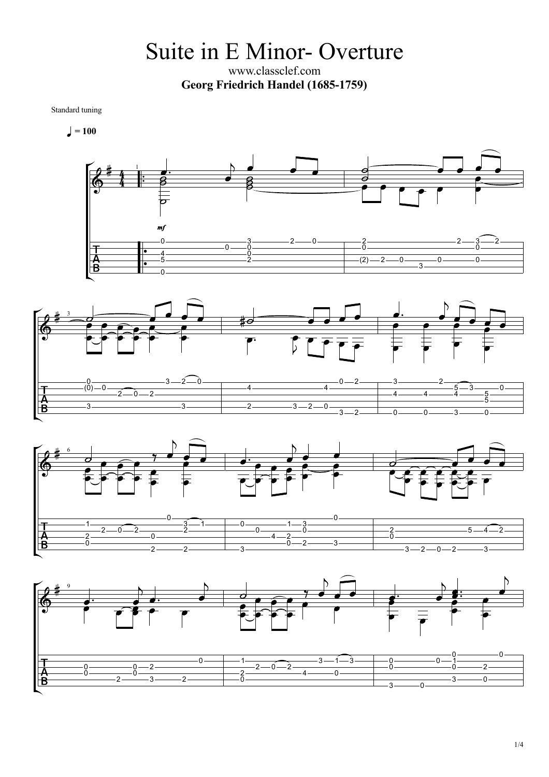Suite in E Minor- Overture

www.classclef.com **Georg Friedrich Handel (1685-1759)**

Standard tuning

 $= 100$ 







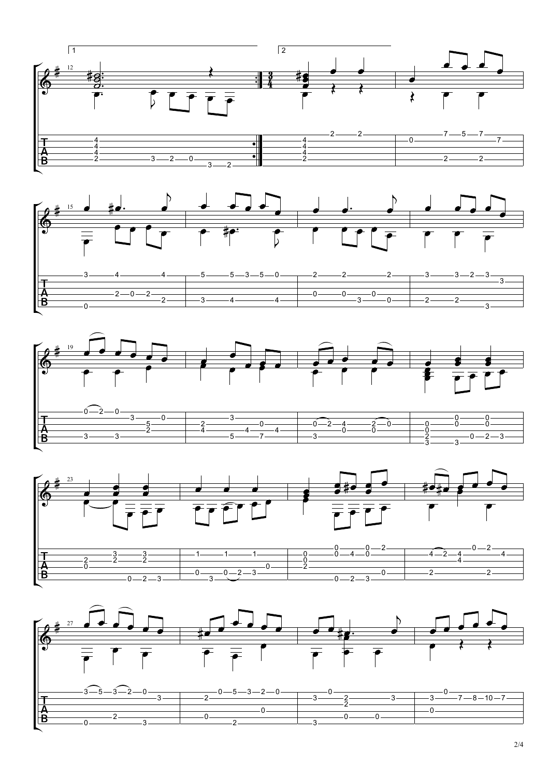







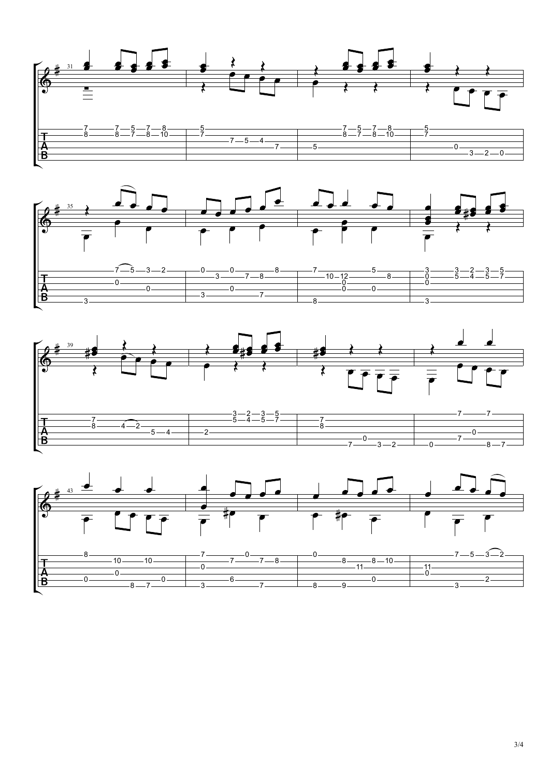